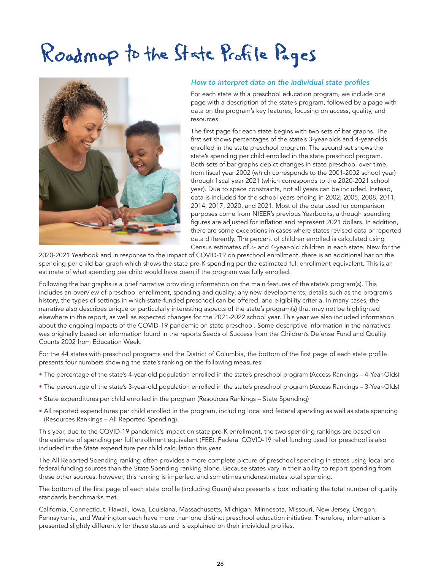# Roadmop to the State Profile Pages



#### How to interpret data on the individual state profiles

For each state with a preschool education program, we include one page with a description of the state's program, followed by a page with data on the program's key features, focusing on access, quality, and resources.

The first page for each state begins with two sets of bar graphs. The first set shows percentages of the state's 3-year-olds and 4-year-olds enrolled in the state preschool program. The second set shows the state's spending per child enrolled in the state preschool program. Both sets of bar graphs depict changes in state preschool over time, from fiscal year 2002 (which corresponds to the 2001-2002 school year) through fiscal year 2021 (which corresponds to the 2020-2021 school year). Due to space constraints, not all years can be included. Instead, data is included for the school years ending in 2002, 2005, 2008, 2011, 2014, 2017, 2020, and 2021. Most of the data used for comparison purposes come from NIEER's previous Yearbooks, although spending figures are adjusted for inflation and represent 2021 dollars. In addition, there are some exceptions in cases where states revised data or reported data differently. The percent of children enrolled is calculated using Census estimates of 3- and 4-year-old children in each state. New for the

2020-2021 Yearbook and in response to the impact of COVID-19 on preschool enrollment, there is an additional bar on the spending per child bar graph which shows the state pre-K spending per the estimated full enrollment equivalent. This is an estimate of what spending per child would have been if the program was fully enrolled.

Following the bar graphs is a brief narrative providing information on the main features of the state's program(s). This includes an overview of preschool enrollment, spending and quality; any new developments; details such as the program's history, the types of settings in which state-funded preschool can be offered, and eligibility criteria. In many cases, the narrative also describes unique or particularly interesting aspects of the state's program(s) that may not be highlighted elsewhere in the report, as well as expected changes for the 2021-2022 school year. This year we also included information about the ongoing impacts of the COVID-19 pandemic on state preschool. Some descriptive information in the narratives was originally based on information found in the reports Seeds of Success from the Children's Defense Fund and Quality Counts 2002 from Education Week.

For the 44 states with preschool programs and the District of Columbia, the bottom of the first page of each state profile presents four numbers showing the state's ranking on the following measures:

- The percentage of the state's 4-year-old population enrolled in the state's preschool program (Access Rankings 4-Year-Olds)
- The percentage of the state's 3-year-old population enrolled in the state's preschool program (Access Rankings 3-Year-Olds)
- State expenditures per child enrolled in the program (Resources Rankings State Spending)
- All reported expenditures per child enrolled in the program, including local and federal spending as well as state spending (Resources Rankings – All Reported Spending).

This year, due to the COVID-19 pandemic's impact on state pre-K enrollment, the two spending rankings are based on the estimate of spending per full enrollment equivalent (FEE). Federal COVID-19 relief funding used for preschool is also included in the State expenditure per child calculation this year.

The All Reported Spending ranking often provides a more complete picture of preschool spending in states using local and federal funding sources than the State Spending ranking alone. Because states vary in their ability to report spending from these other sources, however, this ranking is imperfect and sometimes underestimates total spending.

The bottom of the first page of each state profile (including Guam) also presents a box indicating the total number of quality standards benchmarks met.

California, Connecticut, Hawaii, Iowa, Louisiana, Massachusetts, Michigan, Minnesota, Missouri, New Jersey, Oregon, Pennsylvania, and Washington each have more than one distinct preschool education initiative. Therefore, information is presented slightly differently for these states and is explained on their individual profiles.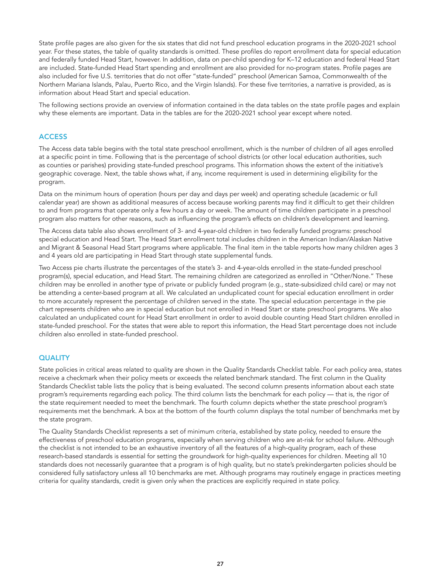State profile pages are also given for the six states that did not fund preschool education programs in the 2020-2021 school year. For these states, the table of quality standards is omitted. These profiles do report enrollment data for special education and federally funded Head Start, however. In addition, data on per-child spending for K–12 education and federal Head Start are included. State-funded Head Start spending and enrollment are also provided for no-program states. Profile pages are also included for five U.S. territories that do not offer "state-funded" preschool (American Samoa, Commonwealth of the Northern Mariana Islands, Palau, Puerto Rico, and the Virgin Islands). For these five territories, a narrative is provided, as is information about Head Start and special education.

The following sections provide an overview of information contained in the data tables on the state profile pages and explain why these elements are important. Data in the tables are for the 2020-2021 school year except where noted.

### ACCESS

The Access data table begins with the total state preschool enrollment, which is the number of children of all ages enrolled at a specific point in time. Following that is the percentage of school districts (or other local education authorities, such as counties or parishes) providing state-funded preschool programs. This information shows the extent of the initiative's geographic coverage. Next, the table shows what, if any, income requirement is used in determining eligibility for the program.

Data on the minimum hours of operation (hours per day and days per week) and operating schedule (academic or full calendar year) are shown as additional measures of access because working parents may find it difficult to get their children to and from programs that operate only a few hours a day or week. The amount of time children participate in a preschool program also matters for other reasons, such as influencing the program's effects on children's development and learning.

The Access data table also shows enrollment of 3- and 4-year-old children in two federally funded programs: preschool special education and Head Start. The Head Start enrollment total includes children in the American Indian/Alaskan Native and Migrant & Seasonal Head Start programs where applicable. The final item in the table reports how many children ages 3 and 4 years old are participating in Head Start through state supplemental funds.

Two Access pie charts illustrate the percentages of the state's 3- and 4-year-olds enrolled in the state-funded preschool program(s), special education, and Head Start. The remaining children are categorized as enrolled in "Other/None." These children may be enrolled in another type of private or publicly funded program (e.g., state-subsidized child care) or may not be attending a center-based program at all. We calculated an unduplicated count for special education enrollment in order to more accurately represent the percentage of children served in the state. The special education percentage in the pie chart represents children who are in special education but not enrolled in Head Start or state preschool programs. We also calculated an unduplicated count for Head Start enrollment in order to avoid double counting Head Start children enrolled in state-funded preschool. For the states that were able to report this information, the Head Start percentage does not include children also enrolled in state-funded preschool.

### **QUALITY**

State policies in critical areas related to quality are shown in the Quality Standards Checklist table. For each policy area, states receive a checkmark when their policy meets or exceeds the related benchmark standard. The first column in the Quality Standards Checklist table lists the policy that is being evaluated. The second column presents information about each state program's requirements regarding each policy. The third column lists the benchmark for each policy — that is, the rigor of the state requirement needed to meet the benchmark. The fourth column depicts whether the state preschool program's requirements met the benchmark. A box at the bottom of the fourth column displays the total number of benchmarks met by the state program.

The Quality Standards Checklist represents a set of minimum criteria, established by state policy, needed to ensure the effectiveness of preschool education programs, especially when serving children who are at-risk for school failure. Although the checklist is not intended to be an exhaustive inventory of all the features of a high-quality program, each of these research-based standards is essential for setting the groundwork for high-quality experiences for children. Meeting all 10 standards does not necessarily guarantee that a program is of high quality, but no state's prekindergarten policies should be considered fully satisfactory unless all 10 benchmarks are met. Although programs may routinely engage in practices meeting criteria for quality standards, credit is given only when the practices are explicitly required in state policy.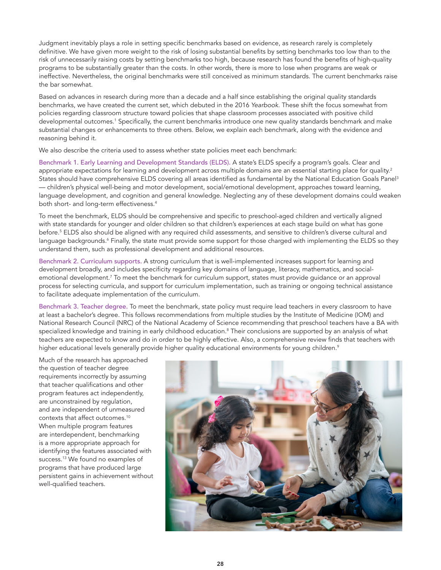Judgment inevitably plays a role in setting specific benchmarks based on evidence, as research rarely is completely definitive. We have given more weight to the risk of losing substantial benefits by setting benchmarks too low than to the risk of unnecessarily raising costs by setting benchmarks too high, because research has found the benefits of high-quality programs to be substantially greater than the costs. In other words, there is more to lose when programs are weak or ineffective. Nevertheless, the original benchmarks were still conceived as minimum standards. The current benchmarks raise the bar somewhat.

Based on advances in research during more than a decade and a half since establishing the original quality standards benchmarks, we have created the current set, which debuted in the 2016 *Yearbook*. These shift the focus somewhat from policies regarding classroom structure toward policies that shape classroom processes associated with positive child developmental outcomes.<sup>1</sup> Specifically, the current benchmarks introduce one new quality standards benchmark and make substantial changes or enhancements to three others. Below, we explain each benchmark, along with the evidence and reasoning behind it.

We also describe the criteria used to assess whether state policies meet each benchmark:

Benchmark 1. Early Learning and Development Standards (ELDS). A state's ELDS specify a program's goals. Clear and appropriate expectations for learning and development across multiple domains are an essential starting place for quality.<sup>2</sup> States should have comprehensive ELDS covering all areas identified as fundamental by the National Education Goals Panel<sup>3</sup> — children's physical well-being and motor development, social/emotional development, approaches toward learning, language development, and cognition and general knowledge. Neglecting any of these development domains could weaken both short- and long-term effectiveness.4

To meet the benchmark, ELDS should be comprehensive and specific to preschool-aged children and vertically aligned with state standards for younger and older children so that children's experiences at each stage build on what has gone before.5 ELDS also should be aligned with any required child assessments, and sensitive to children's diverse cultural and language backgrounds.<sup>6</sup> Finally, the state must provide some support for those charged with implementing the ELDS so they understand them, such as professional development and additional resources.

Benchmark 2. Curriculum supports. A strong curriculum that is well-implemented increases support for learning and development broadly, and includes specificity regarding key domains of language, literacy, mathematics, and socialemotional development.<sup>7</sup> To meet the benchmark for curriculum support, states must provide guidance or an approval process for selecting curricula, and support for curriculum implementation, such as training or ongoing technical assistance to facilitate adequate implementation of the curriculum.

Benchmark 3. Teacher degree. To meet the benchmark, state policy must require lead teachers in every classroom to have at least a bachelor's degree. This follows recommendations from multiple studies by the Institute of Medicine (IOM) and National Research Council (NRC) of the National Academy of Science recommending that preschool teachers have a BA with specialized knowledge and training in early childhood education.<sup>8</sup> Their conclusions are supported by an analysis of what teachers are expected to know and do in order to be highly effective. Also, a comprehensive review finds that teachers with higher educational levels generally provide higher quality educational environments for young children.<sup>9</sup>

Much of the research has approached the question of teacher degree requirements incorrectly by assuming that teacher qualifications and other program features act independently, are unconstrained by regulation, and are independent of unmeasured contexts that affect outcomes.10 When multiple program features are interdependent, benchmarking is a more appropriate approach for identifying the features associated with success.13 We found no examples of programs that have produced large persistent gains in achievement without well-qualified teachers.

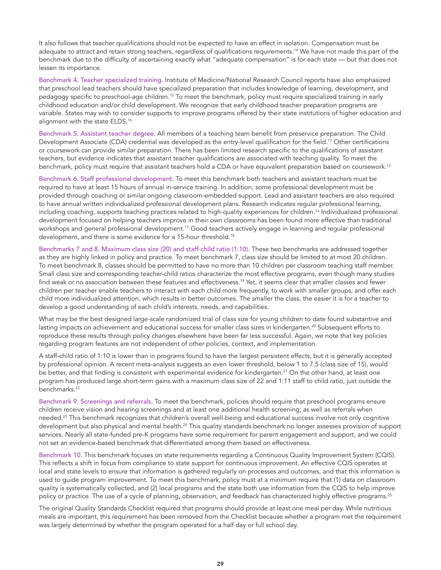It also follows that teacher qualifications should not be expected to have an effect in isolation. Compensation must be adequate to attract and retain strong teachers, regardless of qualifications requirements.14 We have not made this part of the benchmark due to the difficulty of ascertaining exactly what "adequate compensation" is for each state — but that does not lessen its importance.

Benchmark 4. Teacher specialized training. Institute of Medicine/National Research Council reports have also emphasized that preschool lead teachers should have specialized preparation that includes knowledge of learning, development, and pedagogy specific to preschool-age children.15 To meet the benchmark, policy must require specialized training in early childhood education and/or child development. We recognize that early childhood teacher preparation programs are variable. States may wish to consider supports to improve programs offered by their state institutions of higher education and alignment with the state ELDS.<sup>16</sup>

Benchmark 5. Assistant teacher degree. All members of a teaching team benefit from preservice preparation. The Child Development Associate (CDA) credential was developed as the entry-level qualification for the field.<sup>17</sup> Other certifications or coursework can provide similar preparation. There has been limited research specific to the qualifications of assistant teachers, but evidence indicates that assistant teacher qualifications are associated with teaching quality. To meet the benchmark, policy must require that assistant teachers hold a CDA or have equivalent preparation based on coursework.12

Benchmark 6. Staff professional development. To meet this benchmark both teachers and assistant teachers must be required to have at least 15 hours of annual in-service training. In addition, some professional development must be provided through coaching or similar ongoing classroom-embedded support. Lead and assistant teachers are also required to have annual written individualized professional development plans. Research indicates regular professional learning, including coaching, supports teaching practices related to high-quality experiences for children.16 Individualized professional development focused on helping teachers improve in their own classrooms has been found more effective than traditional workshops and general professional development.17 Good teachers actively engage in learning and regular professional development, and there is some evidence for a 15-hour threshold.<sup>18</sup>

Benchmarks 7 and 8. Maximum class size (20) and staff-child ratio (1:10). These two benchmarks are addressed together as they are highly linked in policy and practice. To meet benchmark 7, class size should be limited to at most 20 children. To meet benchmark 8, classes should be permitted to have no more than 10 children per classroom teaching staff member. Small class size and corresponding teacher-child ratios characterize the most effective programs, even though many studies find weak or no association between these features and effectiveness.<sup>19</sup> Yet, it seems clear that smaller classes and fewer children per teacher enable teachers to interact with each child more frequently, to work with smaller groups, and offer each child more individualized attention, which results in better outcomes. The smaller the class, the easier it is for a teacher to develop a good understanding of each child's interests, needs, and capabilities.

What may be the best designed large-scale randomized trial of class size for young children to date found substantive and lasting impacts on achievement and educational success for smaller class sizes in kindergarten.<sup>20</sup> Subsequent efforts to reproduce these results through policy changes elsewhere have been far less successful. Again, we note that key policies regarding program features are not independent of other policies, context, and implementation.

A staff-child ratio of 1:10 is lower than in programs found to have the largest persistent effects, but it is generally accepted by professional opinion. A recent meta-analysis suggests an even lower threshold, below 1 to 7.5 (class size of 15), would be better, and that finding is consistent with experimental evidence for kindergarten.<sup>21</sup> On the other hand, at least one program has produced large short-term gains with a maximum class size of 22 and 1:11 staff to child ratio, just outside the benchmarks.<sup>22</sup>

Benchmark 9. Screenings and referrals. To meet the benchmark, policies should require that preschool programs ensure children receive vision and hearing screenings and at least one additional health screening; as well as referrals when needed.23 This benchmark recognizes that children's overall well-being and educational success involve not only cognitive development but also physical and mental health.<sup>24</sup> This quality standards benchmark no longer assesses provision of support services. Nearly all state-funded pre-K programs have some requirement for parent engagement and support, and we could not set an evidence-based benchmark that differentiated among them based on effectiveness.

Benchmark 10. This benchmark focuses on state requirements regarding a Continuous Quality Improvement System (CQIS). This reflects a shift in focus from compliance to state support for continuous improvement. An effective CQIS operates at local and state levels to ensure that information is gathered regularly on processes and outcomes, and that this information is used to guide program improvement. To meet this benchmark, policy must at a minimum require that (1) data on classroom quality is systematically collected, and (2) local programs and the state both use information from the CQIS to help improve policy or practice. The use of a cycle of planning, observation, and feedback has characterized highly effective programs.<sup>25</sup>

The original Quality Standards Checklist required that programs should provide at least one meal per day. While nutritious meals are important, this requirement has been removed from the Checklist because whether a program met the requirement was largely determined by whether the program operated for a half day or full school day.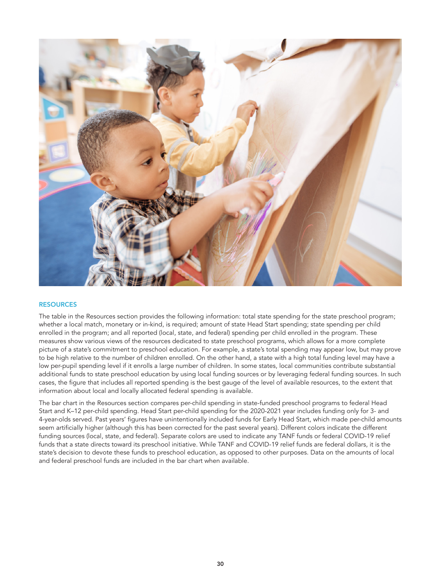

### **RESOURCES**

The table in the Resources section provides the following information: total state spending for the state preschool program; whether a local match, monetary or in-kind, is required; amount of state Head Start spending; state spending per child enrolled in the program; and all reported (local, state, and federal) spending per child enrolled in the program. These measures show various views of the resources dedicated to state preschool programs, which allows for a more complete picture of a state's commitment to preschool education. For example, a state's total spending may appear low, but may prove to be high relative to the number of children enrolled. On the other hand, a state with a high total funding level may have a low per-pupil spending level if it enrolls a large number of children. In some states, local communities contribute substantial additional funds to state preschool education by using local funding sources or by leveraging federal funding sources. In such cases, the figure that includes all reported spending is the best gauge of the level of available resources, to the extent that information about local and locally allocated federal spending is available.

The bar chart in the Resources section compares per-child spending in state-funded preschool programs to federal Head Start and K–12 per-child spending. Head Start per-child spending for the 2020-2021 year includes funding only for 3- and 4-year-olds served. Past years' figures have unintentionally included funds for Early Head Start, which made per-child amounts seem artificially higher (although this has been corrected for the past several years). Different colors indicate the different funding sources (local, state, and federal). Separate colors are used to indicate any TANF funds or federal COVID-19 relief funds that a state directs toward its preschool initiative. While TANF and COVID-19 relief funds are federal dollars, it is the state's decision to devote these funds to preschool education, as opposed to other purposes. Data on the amounts of local and federal preschool funds are included in the bar chart when available.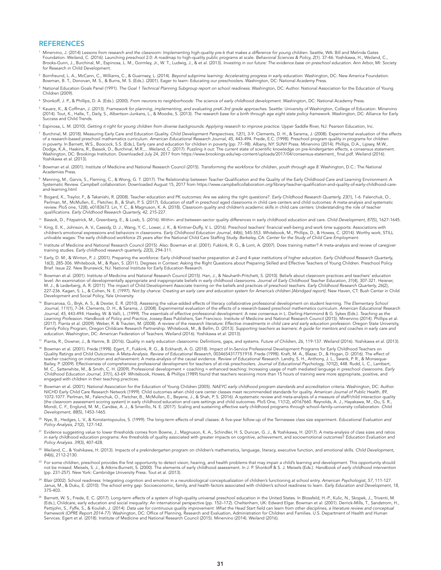#### REFERENCES

- 1 Minervino, J. (2014) *Lessons from research and the classroom: Implementing high-quality pre-k that makes a difference for young children.* Seattle, WA: Bill and Melinda Gates Foundation. Weiland, C. (2016). Launching preschool 2.0: A roadmap to high-quality public programs at scale. Behavioral Sciences & Policy, 2(1). 37-46. Yoshikawa, H., Weiland, C.,<br>Brooks-Gunn, J., Burchinal, M., Espinosa, for Research in Child Development.
- 2 Bornfreund, L. A., McCann, C., Williams, C., & Guernsey, L. (2014). *Beyond subprime learning: Accelerating progress in early education.* Washington, DC: New America Foundation.<br>Bowman, B. T., Donovan, M. S., & Burns, M.
- <sup>3</sup> National Education Goals Panel (1991). *The Goal 1 Technical Planning Subgroup report on school readiness.* Washington, DC: Author. National Association for the Education of Young Children (2009).
- 4 Shonkoff, J. P., & Phillips, D. A. (Eds.). (2000). *From neurons to neighborhoods: The science of early childhood development.* Washington, DC: National Academy Press.
- $^{\rm 5}$  Kauerz, K., & Coffman, J. (2013). *Framework for planning, implementing, and evaluating preK-3rd grade approaches.* Seattle: University of Washington, College of Education. Minervino (2014). Tout, K., Halle, T., Daily, S., Albertson-Junkans, L., & Moodie, S. (2013). *The research base for a birth through age eight state policy framework.* Washington, DC: Alliance for Early Success and Child Trends.
- $^6$  Espinosa, L. M. (2010). Getting it right for young children from diverse backgrounds: Applying research to improve practice. Upper Saddle River, NJ: Pearson Education, Inc.
- <sup>7</sup> Burchinal, M. (2018). Measuring Early Care and Education Quality. Child Development Perspectives, 12(1), 3-9. Clements, D. H., & Sarama, J. (2008). Experimental evaluation of the effects<br>of a research-based preschool m in poverty. In Barnett, W.S., Boocock, S.S. (Eds.), Early care and education for children in poverty (pp. 77–98). Albany, NY: SUNY Press. Minervino (2014). Phillips, D.A., Lipsey, M.W., Dodge, K.A., Haskins, R., Bassok, D., Burchinal, M.R.,…Weiland, C. (2017). Puzzling it out: The current state of scientific knowledge on pre-kindergarten effects, a consensus statement.<br>Washington, DC: Brookings Institutio Yoshikawa et al. (2013).
- $^{\rm 8}$  Bowman et al. (2001). Institute of Medicine and National Research Council (2015). *Transforming the workforce for children, youth through age 8.* Washington, D.C.: The National Academies Press.
- $^\circ$  Manning, M., Garvis, S., Fleming, C., & Wong, G. T. (2017). The Relationship between Teacher Qualification and the Quality of the Early Childhood Care and Learning Environment: A Systematic Review. *Campbell collaboration.* Downloaded August 15, 2017 from https://www.campbellcollaboration.org/library/teacher-qualification-and-quality-of-early-childhood-careand-learning.html
- <sup>10</sup> Bogard, K., Traylor, F., & Takanishi, R. (2008). Teacher education and PK outcomes: Are we asking the right questions?*. Early Childhood Research Quarterly, 23*(1), 1-6. Falenchuk, O.,<br>Perlman, M., McMullen, E., Fletc review. PloS one, 12(8), e0183673. Lin, Y. C., & Magnuson, K. A. (2018). Classroom quality and children's academic skills in child care centers: Understanding the role of teacher qualifications. *Early Childhood Research Quarterly, 42,* 215-227.
- <sup>11</sup> Bassok, D., Fitzpatrick, M., Greenberg, E., & Loeb, S. (2016). Within- and between-sector quality differences in early childhood education and care. *Child Development, 87*(5), 1627-1645.
- <sup>12</sup> King, E. K., Johnson, A. V., Cassidy, D. J., Wang, Y. C., Lower, J. K., & Kintner-Duffy, V. L. (2016). Preschool teachers' financial well-being and work time supports: Associations with children's emotional expressions and behaviors in classrooms. Early Childhood Education Journal, 44(6), 545-553. Whitebook, M., Phillips, D., & Howes, C. (2014). Worthy work, STILL<br>unlivable wages: The early childhood work
- 13 Institute of Medicine and National Research Council (2015). Also: Bowman et al. (2001). Fukkink, R. G., & Lont, A. (2007). Does training matter? A meta-analysis and review of caregiver training studies. *Early childhood research quarterly, 22*(3), 294-311.
- <sup>14</sup> Early, D. M., & Winton, P. J. (2001). Preparing the workforce: Early childhood teacher preparation at 2-and 4-year institutions of higher education. *Early Childhood Research Quarterly,*  16(3), 285-306. Whitebook, M., & Ryan, S. (2011). Degrees in Context: Asking the Right Questions about Preparing Skilled and Effective Teachers of Young Children. Preschool Policy<br>Brief. Issue 22. New Brunswick, NJ: Nation
- <sup>15</sup> Bowman et al. (2001). Institute of Medicine and National Research Council (2015). Han, J., & Neuharth-Pritchett, S. (2010). Beliefs about classroom practices and teachers' education level: An examination of developmentally appropriate and inappropriate beliefs in early childhood cassrooms. Journal of Early Childhood Teacher Education, 31(4), 307-321. Heisner,<br>M. J., & Lederberg, A. R. (2011). The impa Development and Social Policy, Yale University.
- 6 Biancarosa, G., Bryk, A. S., & Dexter, E. R. (2010). Assessing the value-added effects of literacy collaborative professional development on student learning. The Elementary School<br>Journal, 111(1), 7-34. Clements, D. H., *Journal, 45,* 443-494. Hawley, W. & Valli, L. (1999). The essentials of effective professional development: A new consensus in L. Darling-Hammond & G. Sykes (Eds.). *Teaching as the*  Learning Profession. Handbook of Policy and Practice, Jossey-Bass Publishers, San Francisco. Institute of Medicine and National Research Council (2015). Minervino (2014). Phillips et al<br>(2017). Pianta et al. (2009). Weber, Family Policy Program, Oregon Childcare Research Partnership. Whitebook, M., & Bellm, D. (2013). *Supporting teachers as learners: A guide for mentors and coaches in early care and education.* Washington, DC: American Federation of Teachers. Weiland (2016). Yoshikawa et al. (2013).
- <sup>17</sup> Pianta, R., Downer, J., & Hamre, B. (2016). Quality in early education classrooms: Definitions, gaps, and systems. *Future of Children, 26,* 119-137. Weiland (2016). Yoshikawa et al. (2013).
- <sup>18</sup> Bowman et al. (2001). Frede (1998). Egert, F., Fukkink, R. G., & Eckhardt, A. G. (2018). Impact of In-Service Professional Development Programs for Early Childhood Teachers on Quality Ratings and Child Outcomes: A Meta-Analysis. Review of Educational Research, 0034654317751918. Frede (1998). Kraft, M. A., Blazar, D., & Hogan, D. (2016). The effect of<br>teacher coaching on instruction and achieveme Bailey, P. (2009). Effectiveness of comprehensive professional development for teachers of at-risk preschoolers. *Journal of Educational Psychology, 101*(2), 448. Rudd, L. C., Lambert, M. C., Satterwhite, M., & Smith, C. H. (2009). Professional development + coaching = enhanced teaching: Increasing usage of math mediated language in preschool classrooms. Early<br>*Childhood Education Journal, 37(1), 63-69.* engaged with children in their teaching practices.
- 19 Bowman et al. (2001). National Association for the Education of Young Children (2005). *NAEYC early childhood program standards and accreditation criteria.* Washington, DC: Author. NICHD Early Child Care Research Network (1999). Child outcomes when child care center classes meet recommended standards for quality. *American Journal of Public Health, 89,*  1072-1077. Perlman, M., Falenchuk, O., Fletcher, B., McMullen, E., Beyene, J., & Shah, P. S. (2016). A systematic review and meta-analysis of a measure of staff/child interaction quality<br>(the classroom assessment scoring s Mondi, C. F., Englund, M. M., Candee, A. J., & Smerillo, N. E. (2017). Scaling and sustaining effective early childhood programs through school–family–university collaboration. *Child Development, 88*(5), 1453-1465.
- <sup>20</sup> Nye, B., Hedges, L. V., & Konstantopoulos, S. (1999). The long-term effects of small classes: A five-year follow-up of the Tennessee class size experiment. *Educational Evaluation and Policy Analysis, 21*(2), 127-142.
- <sup>21</sup> Evidence suggesting value to lower thresholds comes from Bowne, J., Magnuson, K. A., Schindler, H. S, Duncan, G. J., & Yoshikawa, H. (2017). A meta-analysis of class sizes and ratios<br>in early childhood education progr *Policy Analysis. 39*(3), 407-428.
- <sup>22</sup> Weiland, C., & Yoshikawa, H. (2013). Impacts of a prekindergarten program on children's mathematics, language, literacy, executive function, and emotional skills. *Child Development, 84*(6), 2112-2130.
- <sup>23</sup> For some children, preschool provides the first opportunity to detect vision, hearing, and health problems that may impair a child's learning and development. This opportunity should<br>not be missed. Meisels, S. J., & A (pp. 231-257). New York: Cambridge University Press. Tout et al. (2013).
- 24 Blair (2002). School readiness: Integrating cognition and emotion in a neurobiological conceptualization of children's functioning at school entry. *American Psychologist, 57,* 111-127. Janus, M., & Duku, E. (2010). The school entry gap: Socioeconomic, family, and health factors associated with children's school readiness to learn. *Early Education and Development, 18,*  375-403.
- <sup>25</sup> Barnett, W. S., Frede, E. C. (2017). Long-term effects of a system of high-quality universal preschool education in the United States. In Blossfeld, H.-P., Kulic, N., Skopek, J., Triventi, M. (Eds.), Childcare, early education and social inequality: An international perspective (pp. 152–172). Cheltenham, UK: Edward Elgar. Bowman et al. (2001). Derrick-Mills, T., Sandstrom, H.,<br>Pettijohn, S., Fyffe, S., & Koulis *framework (OPRE Report 2014-77).* Washington, DC: Office of Planning, Research and Evaluation, Administration for Children and Families. U.S. Department of Health and Human Services. Egert et al. (2018). Institute of Medicine and National Research Council (2015). Minervino (2014). Weiland (2016).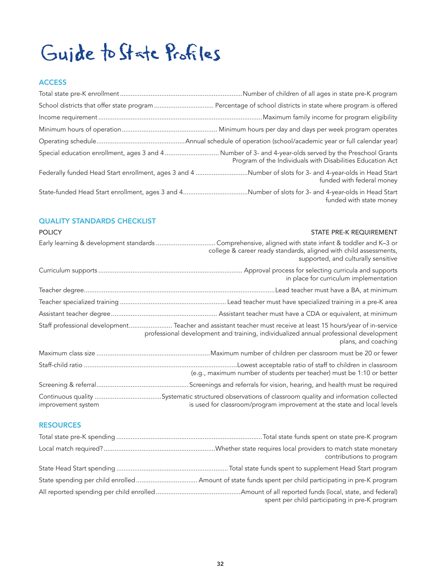## Guide to State Profiles

## **ACCESS**

| Special education enrollment, ages 3 and 4  Number of 3- and 4-year-olds served by the Preschool Grants<br>Program of the Individuals with Disabilities Education Act |
|-----------------------------------------------------------------------------------------------------------------------------------------------------------------------|
| Federally funded Head Start enrollment, ages 3 and 4 Number of slots for 3- and 4-year-olds in Head Start<br>funded with federal money                                |
| State-funded Head Start enrollment, ages 3 and 4Number of slots for 3- and 4-year-olds in Head Start<br>funded with state money                                       |

## QUALITY STANDARDS CHECKLIST

| <b>POLICY</b>                          | STATE PRE-K REQUIREMENT                                                                                                                                                                                                        |
|----------------------------------------|--------------------------------------------------------------------------------------------------------------------------------------------------------------------------------------------------------------------------------|
| Early learning & development standards | . Comprehensive, aligned with state infant & toddler and K-3 or<br>college & career ready standards, aligned with child assessments,<br>supported, and culturally sensitive                                                    |
|                                        | in place for curriculum implementation                                                                                                                                                                                         |
|                                        |                                                                                                                                                                                                                                |
|                                        |                                                                                                                                                                                                                                |
|                                        |                                                                                                                                                                                                                                |
|                                        | Staff professional development Teacher and assistant teacher must receive at least 15 hours/year of in-service<br>professional development and training, individualized annual professional development<br>plans, and coaching |
|                                        |                                                                                                                                                                                                                                |
|                                        | (e.g., maximum number of students per teacher) must be 1:10 or better                                                                                                                                                          |
|                                        |                                                                                                                                                                                                                                |
| improvement system                     | is used for classroom/program improvement at the state and local levels                                                                                                                                                        |

## **RESOURCES**

| contributions to program                       |
|------------------------------------------------|
|                                                |
|                                                |
| spent per child participating in pre-K program |